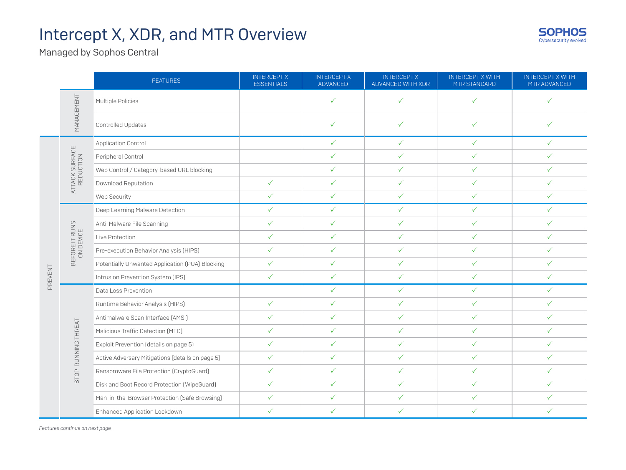

Managed by Sophos Central

|         |                             | <b>FEATURES</b>                                  | <b>INTERCEPT X</b><br><b>ESSENTIALS</b> | <b>INTERCEPT X</b><br><b>ADVANCED</b> | <b>INTERCEPT X</b><br>ADVANCED WITH XDR | <b>INTERCEPT X WITH</b><br>MTR STANDARD | <b>INTERCEPT X WITH</b><br>MTR ADVANCED |
|---------|-----------------------------|--------------------------------------------------|-----------------------------------------|---------------------------------------|-----------------------------------------|-----------------------------------------|-----------------------------------------|
|         | MANAGEMENT                  | Multiple Policies                                |                                         | ✓                                     | $\checkmark$                            | $\checkmark$                            | $\checkmark$                            |
|         |                             | Controlled Updates                               |                                         | ✓                                     | ✓                                       | ✓                                       | ✓                                       |
|         | ATTACK SURFACE<br>REDUCTION | Application Control                              |                                         | $\checkmark$                          | $\checkmark$                            | $\checkmark$                            | $\checkmark$                            |
|         |                             | Peripheral Control                               |                                         | $\checkmark$                          | $\checkmark$                            | $\checkmark$                            | $\checkmark$                            |
|         |                             | Web Control / Category-based URL blocking        |                                         | $\checkmark$                          | $\checkmark$                            | $\checkmark$                            | $\checkmark$                            |
|         |                             | Download Reputation                              | $\checkmark$                            | $\checkmark$                          | $\checkmark$                            | $\checkmark$                            | $\checkmark$                            |
|         |                             | Web Security                                     | $\checkmark$                            | $\checkmark$                          | $\checkmark$                            | $\checkmark$                            | $\checkmark$                            |
|         |                             | Deep Learning Malware Detection                  | $\checkmark$                            | $\checkmark$                          | $\checkmark$                            | $\checkmark$                            | $\checkmark$                            |
|         |                             | Anti-Malware File Scanning                       | $\checkmark$                            | $\checkmark$                          | $\checkmark$                            | $\checkmark$                            | $\checkmark$                            |
|         | BEFORE IT RUNS<br>ON DEVICE | Live Protection                                  | $\checkmark$                            | $\checkmark$                          | $\checkmark$                            | ✓                                       | $\checkmark$                            |
|         |                             | Pre-execution Behavior Analysis (HIPS)           | $\checkmark$                            | $\checkmark$                          | $\checkmark$                            | $\checkmark$                            | $\checkmark$                            |
|         |                             | Potentially Unwanted Application (PUA) Blocking  | $\checkmark$                            | $\checkmark$                          | $\checkmark$                            | $\checkmark$                            | $\checkmark$                            |
| PREVENT |                             | Intrusion Prevention System (IPS)                | $\checkmark$                            | $\checkmark$                          | $\checkmark$                            | $\checkmark$                            | $\checkmark$                            |
|         |                             | Data Loss Prevention                             |                                         | $\checkmark$                          | $\checkmark$                            | $\checkmark$                            | $\checkmark$                            |
|         | RUNNING THREAT<br>STOP      | Runtime Behavior Analysis (HIPS)                 | $\checkmark$                            | $\checkmark$                          | $\checkmark$                            | $\checkmark$                            | $\checkmark$                            |
|         |                             | Antimalware Scan Interface [AMSI]                | $\checkmark$                            | $\checkmark$                          | $\checkmark$                            | $\checkmark$                            | $\checkmark$                            |
|         |                             | Malicious Traffic Detection (MTD)                | $\checkmark$                            | $\checkmark$                          | $\checkmark$                            | $\checkmark$                            | $\checkmark$                            |
|         |                             | Exploit Prevention (details on page 5)           | $\checkmark$                            | $\checkmark$                          | $\checkmark$                            | $\checkmark$                            | $\checkmark$                            |
|         |                             | Active Adversary Mitigations (details on page 5) | $\checkmark$                            | $\checkmark$                          | $\checkmark$                            | $\checkmark$                            | $\checkmark$                            |
|         |                             | Ransomware File Protection (CryptoGuard)         | $\checkmark$                            | $\checkmark$                          | $\checkmark$                            | $\checkmark$                            | $\checkmark$                            |
|         |                             | Disk and Boot Record Protection (WipeGuard)      | $\checkmark$                            | $\checkmark$                          | $\checkmark$                            | $\checkmark$                            | $\checkmark$                            |
|         |                             | Man-in-the-Browser Protection (Safe Browsing)    | $\checkmark$                            | $\checkmark$                          | $\checkmark$                            | $\checkmark$                            | $\checkmark$                            |
|         |                             | Enhanced Application Lockdown                    | $\checkmark$                            | $\checkmark$                          | $\checkmark$                            | $\checkmark$                            | $\checkmark$                            |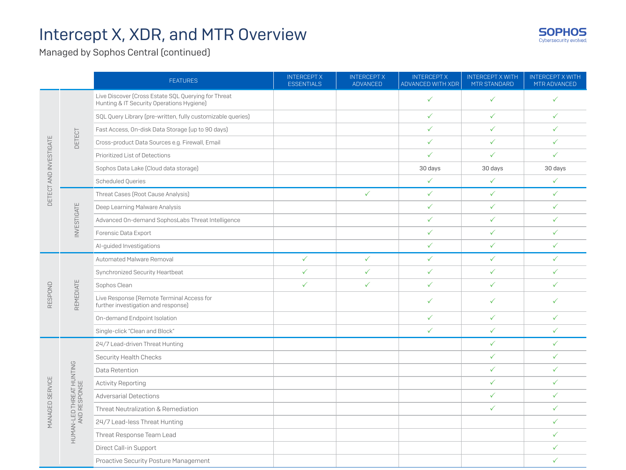

Managed by Sophos Central (continued)

|                        |                                          | <b>FEATURES</b>                                                                                  | <b>INTERCEPT X</b><br><b>ESSENTIALS</b> | <b>INTERCEPT X</b><br><b>ADVANCED</b> | <b>INTERCEPT X</b><br>ADVANCED WITH XDR | <b>INTERCEPT X WITH</b><br>MTR STANDARD | <b>INTERCEPT X WITH</b><br>MTR ADVANCED |
|------------------------|------------------------------------------|--------------------------------------------------------------------------------------------------|-----------------------------------------|---------------------------------------|-----------------------------------------|-----------------------------------------|-----------------------------------------|
| DETECT AND INVESTIGATE |                                          | Live Discover (Cross Estate SQL Querying for Threat<br>Hunting & IT Security Operations Hygiene) |                                         |                                       | $\checkmark$                            | $\checkmark$                            | $\checkmark$                            |
|                        |                                          | SQL Query Library (pre-written, fully customizable queries)                                      |                                         |                                       | $\checkmark$                            | $\checkmark$                            | $\checkmark$                            |
|                        |                                          | Fast Access, On-disk Data Storage (up to 90 days)                                                |                                         |                                       | $\checkmark$                            | $\checkmark$                            | $\checkmark$                            |
|                        | DETECT                                   | Cross-product Data Sources e.g. Firewall, Email                                                  |                                         |                                       | $\checkmark$                            | $\checkmark$                            | $\checkmark$                            |
|                        |                                          | Prioritized List of Detections                                                                   |                                         |                                       | $\checkmark$                            | $\checkmark$                            | $\checkmark$                            |
|                        |                                          | Sophos Data Lake [Cloud data storage]                                                            |                                         |                                       | 30 days                                 | 30 days                                 | 30 days                                 |
|                        |                                          | <b>Scheduled Queries</b>                                                                         |                                         |                                       | $\checkmark$                            | $\checkmark$                            | $\checkmark$                            |
|                        |                                          | Threat Cases (Root Cause Analysis)                                                               |                                         | $\checkmark$                          | $\checkmark$                            | $\checkmark$                            | $\checkmark$                            |
|                        |                                          | Deep Learning Malware Analysis                                                                   |                                         |                                       | $\checkmark$                            | $\checkmark$                            | $\checkmark$                            |
|                        | <b>INVESTIGATE</b>                       | Advanced On-demand SophosLabs Threat Intelligence                                                |                                         |                                       | $\checkmark$                            | $\checkmark$                            | $\checkmark$                            |
|                        |                                          | Forensic Data Export                                                                             |                                         |                                       | $\checkmark$                            | $\checkmark$                            | $\checkmark$                            |
|                        |                                          | Al-guided Investigations                                                                         |                                         |                                       | $\checkmark$                            | $\checkmark$                            | $\checkmark$                            |
|                        |                                          | Automated Malware Removal                                                                        | $\checkmark$                            | $\checkmark$                          | $\checkmark$                            | $\checkmark$                            | $\checkmark$                            |
|                        |                                          | Synchronized Security Heartbeat                                                                  | $\checkmark$                            | $\checkmark$                          | $\checkmark$                            | $\checkmark$                            | $\checkmark$                            |
|                        | REMEDIATE                                | Sophos Clean                                                                                     | $\checkmark$                            | ✓                                     | $\checkmark$                            | ✓                                       | $\checkmark$                            |
| RESPOND                |                                          | Live Response (Remote Terminal Access for<br>further investigation and response)                 |                                         |                                       | $\checkmark$                            | ✓                                       | ✓                                       |
|                        |                                          | On-demand Endpoint Isolation                                                                     |                                         |                                       | $\checkmark$                            | $\checkmark$                            | $\checkmark$                            |
|                        |                                          | Single-click "Clean and Block"                                                                   |                                         |                                       | $\checkmark$                            | $\checkmark$                            | $\checkmark$                            |
|                        |                                          | 24/7 Lead-driven Threat Hunting                                                                  |                                         |                                       |                                         | $\checkmark$                            | $\checkmark$                            |
|                        |                                          | Security Health Checks                                                                           |                                         |                                       |                                         | $\checkmark$                            | $\checkmark$                            |
|                        |                                          | Data Retention                                                                                   |                                         |                                       |                                         | $\checkmark$                            | $\checkmark$                            |
|                        |                                          | <b>Activity Reporting</b>                                                                        |                                         |                                       |                                         | $\checkmark$                            | $\checkmark$                            |
| <b>MANAGED SERVICE</b> | HUMAN-LED THREAT HUNTING<br>AND RESPONSE | <b>Adversarial Detections</b>                                                                    |                                         |                                       |                                         | $\checkmark$                            | $\checkmark$                            |
|                        |                                          | Threat Neutralization & Remediation                                                              |                                         |                                       |                                         | $\checkmark$                            | $\checkmark$                            |
|                        |                                          | 24/7 Lead-less Threat Hunting                                                                    |                                         |                                       |                                         |                                         | $\checkmark$                            |
|                        |                                          | Threat Response Team Lead                                                                        |                                         |                                       |                                         |                                         | $\checkmark$                            |
|                        |                                          | Direct Call-in Support                                                                           |                                         |                                       |                                         |                                         | $\checkmark$                            |
|                        |                                          | Proactive Security Posture Management                                                            |                                         |                                       |                                         |                                         | $\checkmark$                            |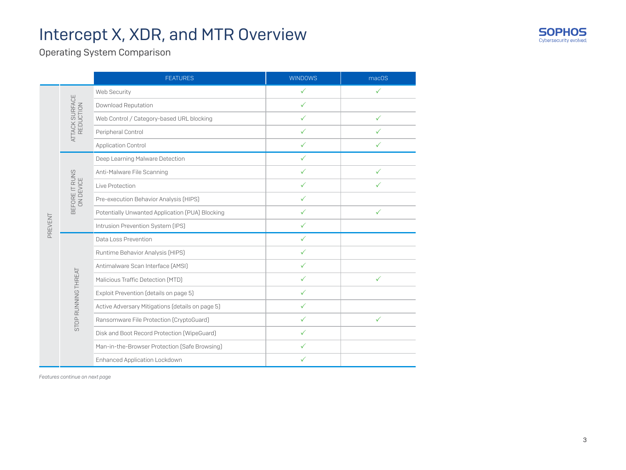

Operating System Comparison

|         |                             | <b>FEATURES</b>                                  | <b>WINDOWS</b> | macOS        |
|---------|-----------------------------|--------------------------------------------------|----------------|--------------|
|         |                             | Web Security                                     | $\checkmark$   | $\checkmark$ |
|         |                             | Download Reputation                              | $\checkmark$   |              |
|         | ATTACK SURFACE<br>REDUCTION | Web Control / Category-based URL blocking        | $\checkmark$   | ✓            |
|         |                             | Peripheral Control                               | $\checkmark$   | $\checkmark$ |
|         |                             | <b>Application Control</b>                       | $\checkmark$   | $\checkmark$ |
|         |                             | Deep Learning Malware Detection                  | $\checkmark$   |              |
|         | BEFORE IT RUNS<br>ON DEVICE | Anti-Malware File Scanning                       | $\checkmark$   | ✓            |
|         |                             | Live Protection                                  | $\checkmark$   | $\checkmark$ |
|         |                             | Pre-execution Behavior Analysis (HIPS)           | $\checkmark$   |              |
| PREVENT |                             | Potentially Unwanted Application (PUA) Blocking  | $\checkmark$   | ✓            |
|         |                             | Intrusion Prevention System (IPS)                | $\checkmark$   |              |
|         |                             | Data Loss Prevention                             | $\checkmark$   |              |
|         |                             | Runtime Behavior Analysis (HIPS)                 | $\checkmark$   |              |
|         | STOP RUNNING THREAT         | Antimalware Scan Interface [AMSI]                | $\checkmark$   |              |
|         |                             | Malicious Traffic Detection (MTD)                | $\checkmark$   | $\checkmark$ |
|         |                             | Exploit Prevention (details on page 5)           | $\checkmark$   |              |
|         |                             | Active Adversary Mitigations (details on page 5) | $\checkmark$   |              |
|         |                             | Ransomware File Protection (CryptoGuard)         | $\checkmark$   | $\checkmark$ |
|         |                             | Disk and Boot Record Protection (WipeGuard)      | $\checkmark$   |              |
|         |                             | Man-in-the-Browser Protection (Safe Browsing)    | $\checkmark$   |              |
|         |                             | Enhanced Application Lockdown                    | $\checkmark$   |              |

*Features continue on next page*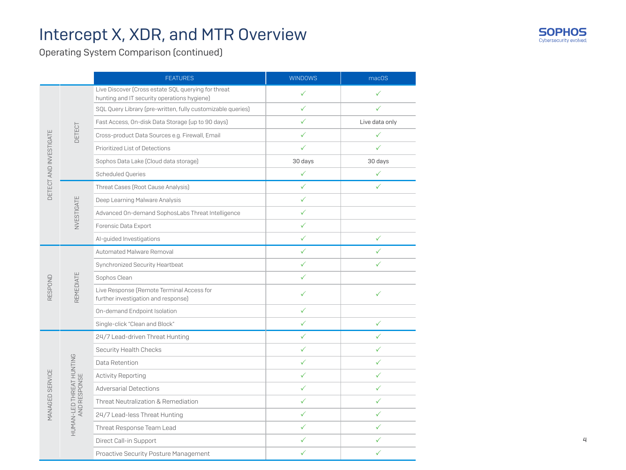

Operating System Comparison (continued)

|                        |                                          | <b>FEATURES</b>                                                                                    | <b>WINDOWS</b> | mac <sub>OS</sub> |
|------------------------|------------------------------------------|----------------------------------------------------------------------------------------------------|----------------|-------------------|
| DETECT AND INVESTIGATE |                                          | Live Discover [Cross estate SQL querying for threat<br>hunting and IT security operations hygiene) | $\checkmark$   | ✓                 |
|                        |                                          | SQL Query Library (pre-written, fully customizable queries)                                        | $\checkmark$   | ✓                 |
|                        |                                          | Fast Access, On-disk Data Storage (up to 90 days)                                                  | $\checkmark$   | Live data only    |
|                        | DETECT                                   | Cross-product Data Sources e.g. Firewall, Email                                                    | $\checkmark$   | $\checkmark$      |
|                        |                                          | Prioritized List of Detections                                                                     | $\checkmark$   | $\checkmark$      |
|                        |                                          | Sophos Data Lake (Cloud data storage)                                                              | 30 days        | 30 days           |
|                        |                                          | Scheduled Queries                                                                                  | $\checkmark$   | $\checkmark$      |
|                        | NVESTIGATE                               | Threat Cases (Root Cause Analysis)                                                                 | $\checkmark$   | $\checkmark$      |
|                        |                                          | Deep Learning Malware Analysis                                                                     | $\checkmark$   |                   |
|                        |                                          | Advanced On-demand SophosLabs Threat Intelligence                                                  | ✓              |                   |
|                        |                                          | Forensic Data Export                                                                               | $\checkmark$   |                   |
|                        |                                          | Al-guided Investigations                                                                           | $\checkmark$   | $\checkmark$      |
|                        | REMEDIATE                                | Automated Malware Removal                                                                          | $\checkmark$   | $\checkmark$      |
|                        |                                          | Synchronized Security Heartbeat                                                                    | ✓              | ✓                 |
|                        |                                          | Sophos Clean                                                                                       | $\checkmark$   |                   |
| RESPOND                |                                          | Live Response (Remote Terminal Access for<br>further investigation and response)                   | $\checkmark$   | ✓                 |
|                        |                                          | On-demand Endpoint Isolation                                                                       | $\checkmark$   |                   |
|                        |                                          | Single-click "Clean and Block"                                                                     | $\checkmark$   | $\checkmark$      |
|                        |                                          | 24/7 Lead-driven Threat Hunting                                                                    | $\checkmark$   | ✓                 |
|                        |                                          | Security Health Checks                                                                             | $\checkmark$   | $\checkmark$      |
|                        |                                          | Data Retention                                                                                     | $\checkmark$   | ✓                 |
| MANAGED SERVICE        |                                          | Activity Reporting                                                                                 | $\checkmark$   | $\checkmark$      |
|                        |                                          | <b>Adversarial Detections</b>                                                                      | $\checkmark$   | ✓                 |
|                        | HUMAN-LED THREAT HUNTING<br>AND RESPONSE | Threat Neutralization & Remediation                                                                | $\checkmark$   | $\checkmark$      |
|                        |                                          | 24/7 Lead-less Threat Hunting                                                                      | $\checkmark$   | ✓                 |
|                        |                                          | Threat Response Team Lead                                                                          | $\checkmark$   | ✓                 |
|                        |                                          | Direct Call-in Support                                                                             | ✓              | ✓                 |
|                        |                                          | Proactive Security Posture Management                                                              | $\checkmark$   | ✓                 |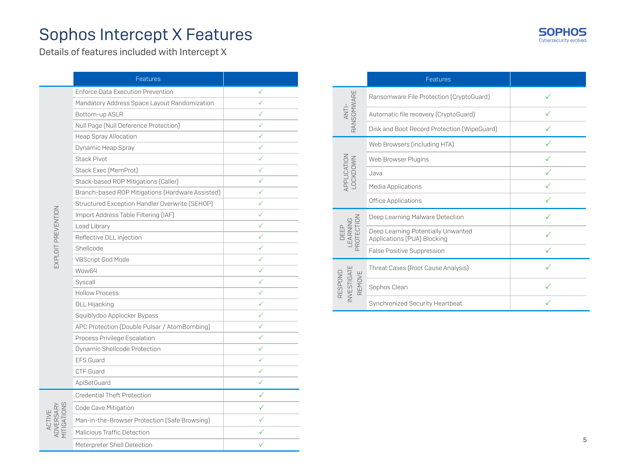# Sophos Intercept X Features

Details of features included with Intercept X

|                                    | Features                                         |              |
|------------------------------------|--------------------------------------------------|--------------|
|                                    | <b>Enforce Data Execution Prevention</b>         | ✓            |
|                                    | Mandatory Address Space Layout Randomization     | ✓            |
|                                    | Bottom-up ASLR                                   |              |
|                                    | Null Page (Null Deference Protection)            | ✓            |
|                                    | Heap Spray Allocation                            | ✓            |
|                                    | Dynamic Heap Spray                               | ✓            |
|                                    | <b>Stack Pivot</b>                               | ✓            |
|                                    | Stack Exec (MemProt)                             |              |
|                                    | Stack-based ROP Mitigations (Caller)             | ✓            |
|                                    | Branch-based ROP Mitigations (Hardware Assisted) | ✓            |
|                                    | Structured Exception Handler Overwrite (SEHOP)   | ✓            |
| EXPLOIT PREVENTION                 | Import Address Table Filtering (IAF)             | $\checkmark$ |
|                                    | Load Library                                     | ✓            |
|                                    | Reflective DLL Injection                         | ✓            |
|                                    | Shellcode                                        | ✓            |
|                                    | <b>VBScript God Mode</b>                         | ✓            |
|                                    | Wow64                                            | ✓            |
|                                    | Syscall                                          | ✓            |
|                                    | <b>Hollow Process</b>                            | ✓            |
|                                    | DLL Hijacking                                    | ✓            |
|                                    | Squiblydoo Applocker Bypass                      | ✓            |
|                                    | APC Protection (Double Pulsar / AtomBombing)     | ✓            |
|                                    | Process Privilege Escalation                     | ✓            |
|                                    | Dynamic Shellcode Protection                     | ✓            |
|                                    | <b>EFS Guard</b>                                 |              |
|                                    | CTF Guard                                        | ✓            |
|                                    | ApiSetGuard                                      | ✓            |
|                                    | <b>Credential Theft Protection</b>               | ✓            |
|                                    | Code Cave Mitigation                             | ✓            |
|                                    | Man-in-the-Browser Protection (Safe Browsing)    |              |
| ACTIVE<br>ADVERSARY<br>MITIGATIONS | Malicious Traffic Detection                      | ✓            |
|                                    | Meterpreter Shell Detection                      | ✓            |

|                                 | Features                                                          |  |
|---------------------------------|-------------------------------------------------------------------|--|
| ANTI-<br>RANSOMWARE             | Ransomware File Protection (CryptoGuard)                          |  |
|                                 | Automatic file recovery (CryptoGuard)                             |  |
|                                 | Disk and Boot Record Protection (WipeGuard)                       |  |
|                                 | Web Browsers (including HTA)                                      |  |
|                                 | Web Browser Plugins                                               |  |
| APPLICATION<br>LOCKDOWN         | Java                                                              |  |
|                                 | Media Applications                                                |  |
|                                 | <b>Office Applications</b>                                        |  |
|                                 | Deep Learning Malware Detection                                   |  |
| PROTECTION<br>DEEP<br>EARNING   | Deep Learning Potentially Unwanted<br>Applications (PUA) Blocking |  |
|                                 | False Positive Suppression                                        |  |
|                                 | Threat Cases (Root Cause Analysis)                                |  |
| NVESTIGATE<br>RESPOND<br>REMOVE | Sophos Clean                                                      |  |
|                                 | Synchronized Security Heartbeat                                   |  |

**SOPH** 

Cybersecurity evolved.

OS